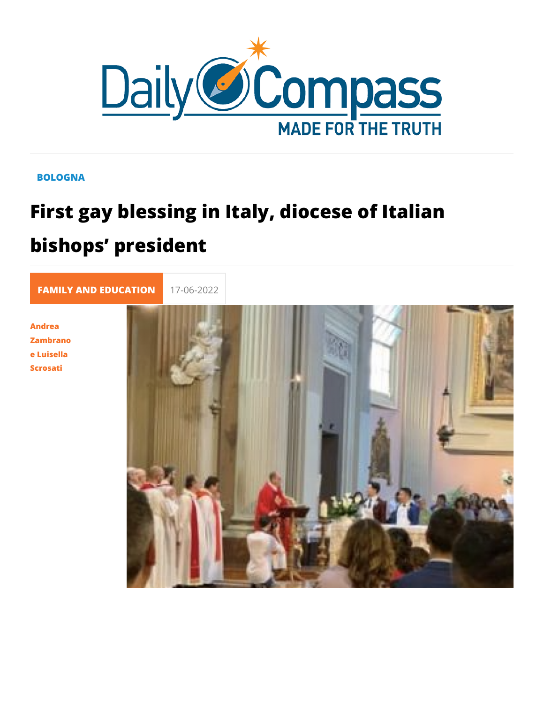## **BOLOGNA**

## First gay blessing in Italy, diocese of bishops president

FAMILY AND EDUC 17-06-2022

Andrea Zambrano e Luisella Scrosati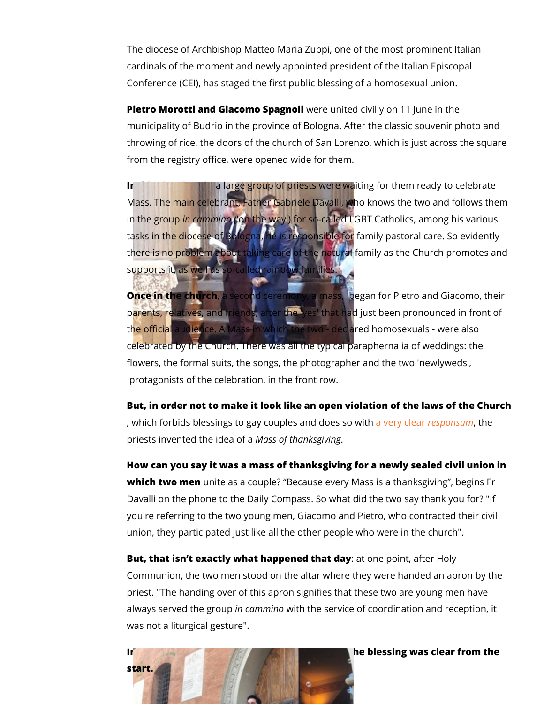The diocese of Archbishop Matteo Maria Zuppi, one of the mos cardinals of the moment and newly appointed president of the Conference (CEI), has staged the first public blessing of a hor

Pietro Morotti and Giacomo wSepraegunited civilly on 11 June in the municipality of Budrio in the province of Bologna. After the classic throwing of rice, the doors of the church of San Lorenzo, whic from the registry office, were opened wide for them.

Inside the chuarcha, rge group of priests were waiting for them re Mass. The main celebrant, Father Gabriele Davalli, who knows in the grimupammino (he way') for so-called LGBT Catholics, an tasks in the diocese of Bologna, he is responsible for family p there is no problem about taking care of the natural family as supports it, as well as so-called rainbow families.

Once in the chuarcshe cond ceremony, a mass, began for Pietro and Giacomo, the Giacomo, the Giacomo, the Giacomo, parents, relatives, and friends, after the 'yes' that had just be the official audience. A Mass in which the two - declared homo celebrated by the Church. There was all the typical paraphernal flowers, the formal suits, the songs, the photographer and the protagonists of the celebration, in the front row.

But, in order not to make it look like an open violation of the , which forbids blessings to gay couplee sy earry do deose psonsum, the h priests invented the Miadsesa oof fthanksgiving

How can you say it was a mass of thanksgiving for a newly sea which two menite as a couple? Because every Mass is a thank Davalli on the phone to the Daily Compass. So what did the two you're referring to the two young men, Giacomo and Pietro, wh union, they participated just like all the other people who were

But, that isn t exactly what happenead obhaet poloaiynt, after Holy Communion, the two men stood on the altar where they were hand priest. "The handing over of this apron signifies that these two always served thien graconumpowint the service of coordination and re was not a liturgical gesture".

In fact, ignoring the play on words, the aim of the blessing wa start.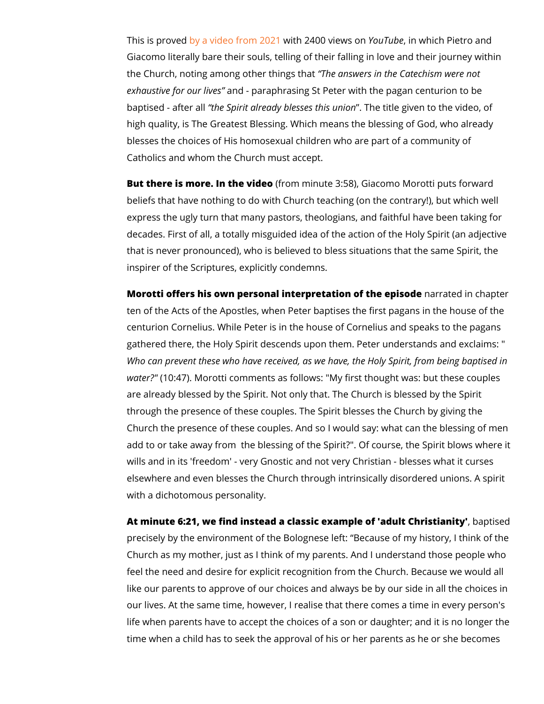This is probyweed video fromwi2th 2214 00 vieYwoss Tounbien which Pietro and Giacomo literally bare their souls, telling of their falling in lo the Church, noting among other haines wethsatin the Catechism we exhaustive for aud livpeasraphrasing St Peter with the pagan cen baptised - afttene as pirit already blesse Tshethtis lengiovnen to the vide high quality, is The Greatest Blessing. Which means the bless blesses the choices of His homosexual children who are part o Catholics and whom the Church must accept.

But there is more. In the row inderpoinute 3:58), Giacomo Morotti put beliefs that have nothing to do with Church teaching (on the c express the ugly turn that many pastors, theologians, and faith decades. First of all, a totally misguided idea of the action of that is never pronounced), who is believed to bless situations inspirer of the Scriptures, explicitly condemns.

Morotti offers his own personal interpretation of the depison dept ten of the Acts of the Apostles, when Peter baptises the first centurion Cornelius. While Peter is in the house of Cornelius a gathered there, the Holy Spirit descends upon them. Peter und Who can prevent these who have received, as we have, the Ho water?"  $0:47$ ). Morotti comments as follows: "My first thought w are already blessed by the Spirit. Not only that. The Church is through the presence of these couples. The Spirit blesses the Church the presence of these couples. And so I would say: wh add to or take away from the blessing of the Spirit?". Of cour wills and in its 'freedom' - very Gnostic and not very Christian elsewhere and even blesses the Church through intrinsically d with a dichotomous personality.

At minute 6:21, we find instead a classic example of baptuils e Cah precisely by the environment of the Bolognese left: Because of Church as my mother, just as I think of my parents. And I under feel the need and desire for explicit recognition from the Chur like our parents to approve of our choices and always be by ou our lives. At the same time, however, I realise that there come life when parents have to accept the choices of a son or daught time when a child has to seek the approval of his or her paren